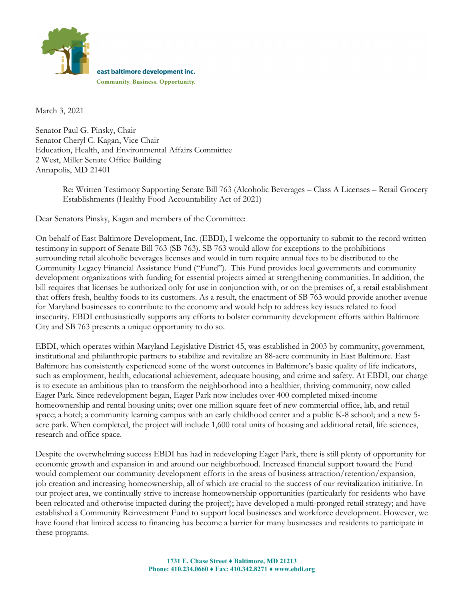

east baltimore development inc.

**Community. Business. Opportunity.** 

March 3, 2021

Senator Paul G. Pinsky, Chair Senator Cheryl C. Kagan, Vice Chair Education, Health, and Environmental Affairs Committee 2 West, Miller Senate Office Building Annapolis, MD 21401

> Re: Written Testimony Supporting Senate Bill 763 (Alcoholic Beverages – Class A Licenses – Retail Grocery Establishments (Healthy Food Accountability Act of 2021)

Dear Senators Pinsky, Kagan and members of the Committee:

On behalf of East Baltimore Development, Inc. (EBDI), I welcome the opportunity to submit to the record written testimony in support of Senate Bill 763 (SB 763). SB 763 would allow for exceptions to the prohibitions surrounding retail alcoholic beverages licenses and would in turn require annual fees to be distributed to the Community Legacy Financial Assistance Fund ("Fund"). This Fund provides local governments and community development organizations with funding for essential projects aimed at strengthening communities. In addition, the bill requires that licenses be authorized only for use in conjunction with, or on the premises of, a retail establishment that offers fresh, healthy foods to its customers. As a result, the enactment of SB 763 would provide another avenue for Maryland businesses to contribute to the economy and would help to address key issues related to food insecurity. EBDI enthusiastically supports any efforts to bolster community development efforts within Baltimore City and SB 763 presents a unique opportunity to do so.

EBDI, which operates within Maryland Legislative District 45, was established in 2003 by community, government, institutional and philanthropic partners to stabilize and revitalize an 88-acre community in East Baltimore. East Baltimore has consistently experienced some of the worst outcomes in Baltimore's basic quality of life indicators, such as employment, health, educational achievement, adequate housing, and crime and safety. At EBDI, our charge is to execute an ambitious plan to transform the neighborhood into a healthier, thriving community, now called Eager Park. Since redevelopment began, Eager Park now includes over 400 completed mixed-income homeownership and rental housing units; over one million square feet of new commercial office, lab, and retail space; a hotel; a community learning campus with an early childhood center and a public K-8 school; and a new 5 acre park. When completed, the project will include 1,600 total units of housing and additional retail, life sciences, research and office space.

Despite the overwhelming success EBDI has had in redeveloping Eager Park, there is still plenty of opportunity for economic growth and expansion in and around our neighborhood. Increased financial support toward the Fund would complement our community development efforts in the areas of business attraction/retention/expansion, job creation and increasing homeownership, all of which are crucial to the success of our revitalization initiative. In our project area, we continually strive to increase homeownership opportunities (particularly for residents who have been relocated and otherwise impacted during the project); have developed a multi-pronged retail strategy; and have established a Community Reinvestment Fund to support local businesses and workforce development. However, we have found that limited access to financing has become a barrier for many businesses and residents to participate in these programs.